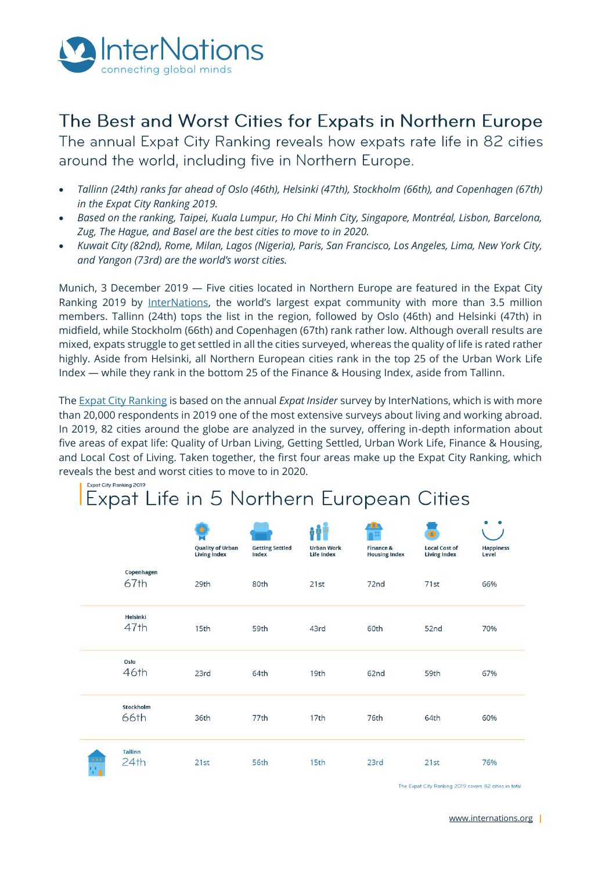

## The Best and Worst Cities for Expats in Northern Europe

The annual Expat City Ranking reveals how expats rate life in 82 cities around the world, including five in Northern Europe.

- *Tallinn (24th) ranks far ahead of Oslo (46th), Helsinki (47th), Stockholm (66th), and Copenhagen (67th) in the Expat City Ranking 2019.*
- *Based on the ranking, Taipei, Kuala Lumpur, Ho Chi Minh City, Singapore, Montréal, Lisbon, Barcelona, Zug, The Hague, and Basel are the best cities to move to in 2020.*
- *Kuwait City (82nd), Rome, Milan, Lagos (Nigeria), Paris, San Francisco, Los Angeles, Lima, New York City, and Yangon (73rd) are the world's worst cities.*

Munich, 3 December 2019 — Five cities located in Northern Europe are featured in the Expat City Ranking 2019 by [InterNations](https://www.internations.org/), the world's largest expat community with more than 3.5 million members. Tallinn (24th) tops the list in the region, followed by Oslo (46th) and Helsinki (47th) in midfield, while Stockholm (66th) and Copenhagen (67th) rank rather low. Although overall results are mixed, expats struggle to get settled in all the cities surveyed, whereas the quality of life is rated rather highly. Aside from Helsinki, all Northern European cities rank in the top 25 of the Urban Work Life Index — while they rank in the bottom 25 of the Finance & Housing Index, aside from Tallinn.

Th[e Expat City Ranking](https://www.internations.org/expat-insider/2019/the-best-and-worst-cities-for-expats-39894) is based on the annual *Expat Insider* survey by InterNations, which is with more than 20,000 respondents in 2019 one of the most extensive surveys about living and working abroad. In 2019, 82 cities around the globe are analyzed in the survey, offering in-depth information about five areas of expat life: Quality of Urban Living, Getting Settled, Urban Work Life, Finance & Housing, and Local Cost of Living. Taken together, the first four areas make up the Expat City Ranking, which reveals the best and worst cities to move to in 2020.

### Expat City Ranking 2019 Expat Life in 5 Northern European Cities

|    |                        | <b>Quality of Urban</b><br><b>Living Index</b> | <b>Getting Settled</b><br>Index | <b>Urban Work</b><br><b>Life Index</b> | Finance &<br><b>Housing Index</b> | Ð<br><b>Local Cost of</b><br><b>Living Index</b> | ٠<br><b>Happiness</b><br>Level |
|----|------------------------|------------------------------------------------|---------------------------------|----------------------------------------|-----------------------------------|--------------------------------------------------|--------------------------------|
|    | Copenhagen<br>67th     | 29th                                           | 80th                            | 21st                                   | 72nd                              | 71st                                             | 66%                            |
|    | Helsinki<br>47th       | 15th                                           | 59th                            | 43rd                                   | 60th                              | 52nd                                             | 70%                            |
|    | Oslo<br>46th           | 23rd                                           | 64th                            | 19th                                   | 62nd                              | 59th                                             | 67%                            |
|    | Stockholm<br>66th      | 36th                                           | 77th                            | 17th                                   | 76th                              | 64th                                             | 60%                            |
| ÷, | <b>Tallinn</b><br>24th | 21st                                           | 56th                            | 15th                                   | 23rd                              | 21st                                             | 76%                            |

The Expat City Ranking 2019 covers 82 cities in total.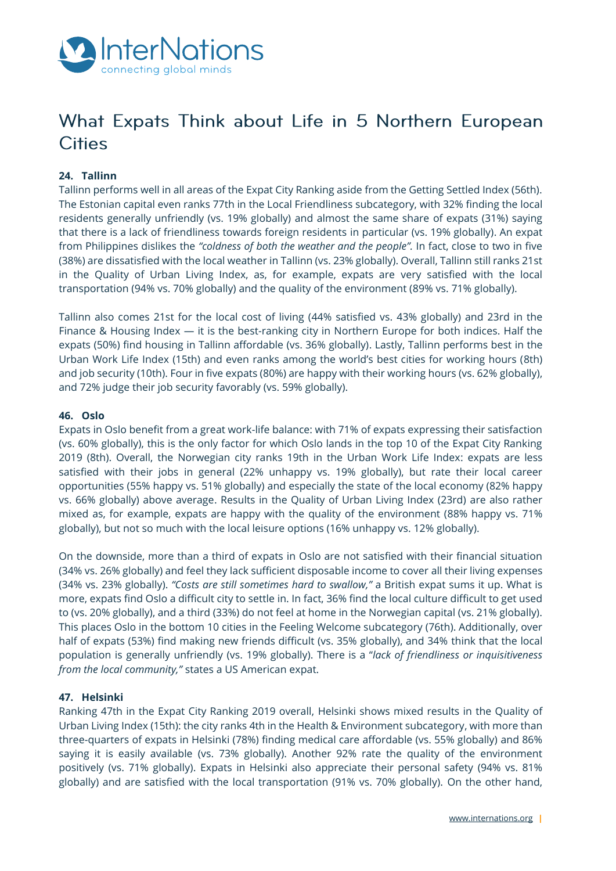

# What Expats Think about Life in 5 Northern European **Cities**

#### **24. Tallinn**

Tallinn performs well in all areas of the Expat City Ranking aside from the Getting Settled Index (56th). The Estonian capital even ranks 77th in the Local Friendliness subcategory, with 32% finding the local residents generally unfriendly (vs. 19% globally) and almost the same share of expats (31%) saying that there is a lack of friendliness towards foreign residents in particular (vs. 19% globally). An expat from Philippines dislikes the *"coldness of both the weather and the people".* In fact, close to two in five (38%) are dissatisfied with the local weather in Tallinn (vs. 23% globally). Overall, Tallinn still ranks 21st in the Quality of Urban Living Index, as, for example, expats are very satisfied with the local transportation (94% vs. 70% globally) and the quality of the environment (89% vs. 71% globally).

Tallinn also comes 21st for the local cost of living (44% satisfied vs. 43% globally) and 23rd in the Finance & Housing Index — it is the best-ranking city in Northern Europe for both indices. Half the expats (50%) find housing in Tallinn affordable (vs. 36% globally). Lastly, Tallinn performs best in the Urban Work Life Index (15th) and even ranks among the world's best cities for working hours (8th) and job security (10th). Four in five expats (80%) are happy with their working hours (vs. 62% globally), and 72% judge their job security favorably (vs. 59% globally).

#### **46. Oslo**

Expats in Oslo benefit from a great work-life balance: with 71% of expats expressing their satisfaction (vs. 60% globally), this is the only factor for which Oslo lands in the top 10 of the Expat City Ranking 2019 (8th). Overall, the Norwegian city ranks 19th in the Urban Work Life Index: expats are less satisfied with their jobs in general (22% unhappy vs. 19% globally), but rate their local career opportunities (55% happy vs. 51% globally) and especially the state of the local economy (82% happy vs. 66% globally) above average. Results in the Quality of Urban Living Index (23rd) are also rather mixed as, for example, expats are happy with the quality of the environment (88% happy vs. 71% globally), but not so much with the local leisure options (16% unhappy vs. 12% globally).

On the downside, more than a third of expats in Oslo are not satisfied with their financial situation (34% vs. 26% globally) and feel they lack sufficient disposable income to cover all their living expenses (34% vs. 23% globally). *"Costs are still sometimes hard to swallow,"* a British expat sums it up. What is more, expats find Oslo a difficult city to settle in. In fact, 36% find the local culture difficult to get used to (vs. 20% globally), and a third (33%) do not feel at home in the Norwegian capital (vs. 21% globally). This places Oslo in the bottom 10 cities in the Feeling Welcome subcategory (76th). Additionally, over half of expats (53%) find making new friends difficult (vs. 35% globally), and 34% think that the local population is generally unfriendly (vs. 19% globally). There is a "*lack of friendliness or inquisitiveness from the local community,"* states a US American expat.

#### **47. Helsinki**

Ranking 47th in the Expat City Ranking 2019 overall, Helsinki shows mixed results in the Quality of Urban Living Index (15th): the city ranks 4th in the Health & Environment subcategory, with more than three-quarters of expats in Helsinki (78%) finding medical care affordable (vs. 55% globally) and 86% saying it is easily available (vs. 73% globally). Another 92% rate the quality of the environment positively (vs. 71% globally). Expats in Helsinki also appreciate their personal safety (94% vs. 81% globally) and are satisfied with the local transportation (91% vs. 70% globally). On the other hand,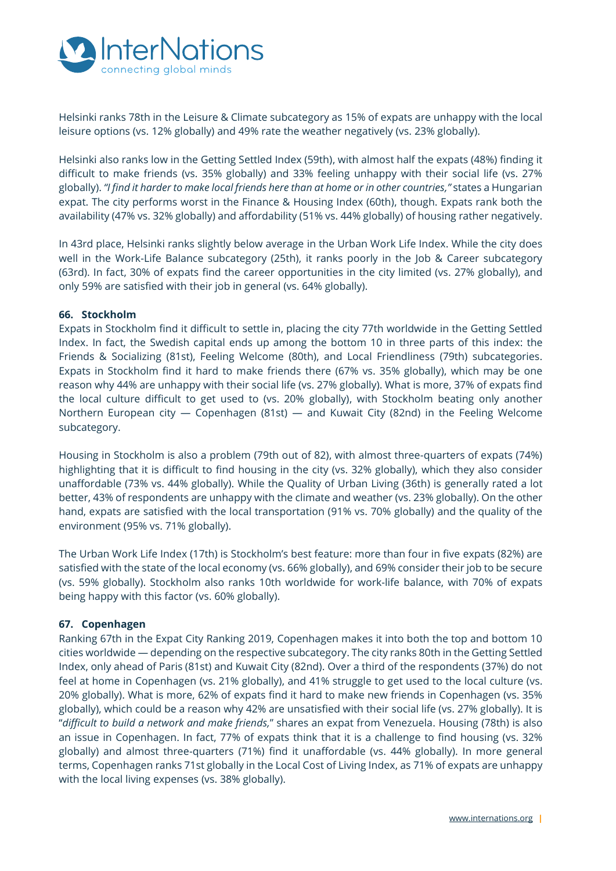

Helsinki ranks 78th in the Leisure & Climate subcategory as 15% of expats are unhappy with the local leisure options (vs. 12% globally) and 49% rate the weather negatively (vs. 23% globally).

Helsinki also ranks low in the Getting Settled Index (59th), with almost half the expats (48%) finding it difficult to make friends (vs. 35% globally) and 33% feeling unhappy with their social life (vs. 27% globally). *"I find it harder to make local friends here than at home or in other countries,"* states a Hungarian expat. The city performs worst in the Finance & Housing Index (60th), though. Expats rank both the availability (47% vs. 32% globally) and affordability (51% vs. 44% globally) of housing rather negatively.

In 43rd place, Helsinki ranks slightly below average in the Urban Work Life Index. While the city does well in the Work-Life Balance subcategory (25th), it ranks poorly in the Job & Career subcategory (63rd). In fact, 30% of expats find the career opportunities in the city limited (vs. 27% globally), and only 59% are satisfied with their job in general (vs. 64% globally).

#### **66. Stockholm**

Expats in Stockholm find it difficult to settle in, placing the city 77th worldwide in the Getting Settled Index. In fact, the Swedish capital ends up among the bottom 10 in three parts of this index: the Friends & Socializing (81st), Feeling Welcome (80th), and Local Friendliness (79th) subcategories. Expats in Stockholm find it hard to make friends there (67% vs. 35% globally), which may be one reason why 44% are unhappy with their social life (vs. 27% globally). What is more, 37% of expats find the local culture difficult to get used to (vs. 20% globally), with Stockholm beating only another Northern European city — Copenhagen (81st) — and Kuwait City (82nd) in the Feeling Welcome subcategory.

Housing in Stockholm is also a problem (79th out of 82), with almost three-quarters of expats (74%) highlighting that it is difficult to find housing in the city (vs. 32% globally), which they also consider unaffordable (73% vs. 44% globally). While the Quality of Urban Living (36th) is generally rated a lot better, 43% of respondents are unhappy with the climate and weather (vs. 23% globally). On the other hand, expats are satisfied with the local transportation (91% vs. 70% globally) and the quality of the environment (95% vs. 71% globally).

The Urban Work Life Index (17th) is Stockholm's best feature: more than four in five expats (82%) are satisfied with the state of the local economy (vs. 66% globally), and 69% consider their job to be secure (vs. 59% globally). Stockholm also ranks 10th worldwide for work-life balance, with 70% of expats being happy with this factor (vs. 60% globally).

#### **67. Copenhagen**

Ranking 67th in the Expat City Ranking 2019, Copenhagen makes it into both the top and bottom 10 cities worldwide — depending on the respective subcategory. The city ranks 80th in the Getting Settled Index, only ahead of Paris (81st) and Kuwait City (82nd). Over a third of the respondents (37%) do not feel at home in Copenhagen (vs. 21% globally), and 41% struggle to get used to the local culture (vs. 20% globally). What is more, 62% of expats find it hard to make new friends in Copenhagen (vs. 35% globally), which could be a reason why 42% are unsatisfied with their social life (vs. 27% globally). It is "*difficult to build a network and make friends,*" shares an expat from Venezuela. Housing (78th) is also an issue in Copenhagen. In fact, 77% of expats think that it is a challenge to find housing (vs. 32% globally) and almost three-quarters (71%) find it unaffordable (vs. 44% globally). In more general terms, Copenhagen ranks 71st globally in the Local Cost of Living Index, as 71% of expats are unhappy with the local living expenses (vs. 38% globally).